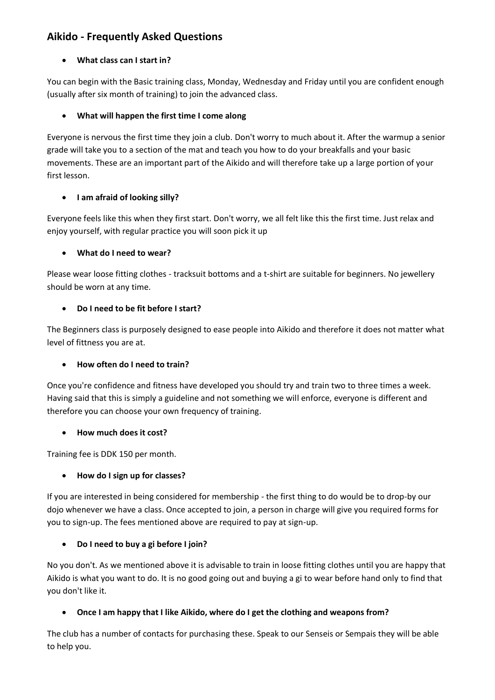# **Aikido - Frequently Asked Questions**

### **What class can I start in?**

You can begin with the Basic training class, Monday, Wednesday and Friday until you are confident enough (usually after six month of training) to join the advanced class.

### **What will happen the first time I come along**

Everyone is nervous the first time they join a club. Don't worry to much about it. After the warmup a senior grade will take you to a section of the mat and teach you how to do your breakfalls and your basic movements. These are an important part of the Aikido and will therefore take up a large portion of your first lesson.

### **I am afraid of looking silly?**

Everyone feels like this when they first start. Don't worry, we all felt like this the first time. Just relax and enjoy yourself, with regular practice you will soon pick it up

### **What do I need to wear?**

Please wear loose fitting clothes - tracksuit bottoms and a t-shirt are suitable for beginners. No jewellery should be worn at any time.

### **Do I need to be fit before I start?**

The Beginners class is purposely designed to ease people into Aikido and therefore it does not matter what level of fittness you are at.

### **How often do I need to train?**

Once you're confidence and fitness have developed you should try and train two to three times a week. Having said that this is simply a guideline and not something we will enforce, everyone is different and therefore you can choose your own frequency of training.

### **How much does it cost?**

Training fee is DDK 150 per month.

## **How do I sign up for classes?**

If you are interested in being considered for membership - the first thing to do would be to drop-by our dojo whenever we have a class. Once accepted to join, a person in charge will give you required forms for you to sign-up. The fees mentioned above are required to pay at sign-up.

## **Do I need to buy a gi before I join?**

No you don't. As we mentioned above it is advisable to train in loose fitting clothes until you are happy that Aikido is what you want to do. It is no good going out and buying a gi to wear before hand only to find that you don't like it.

## **Once I am happy that I like Aikido, where do I get the clothing and weapons from?**

The club has a number of contacts for purchasing these. Speak to our Senseis or Sempais they will be able to help you.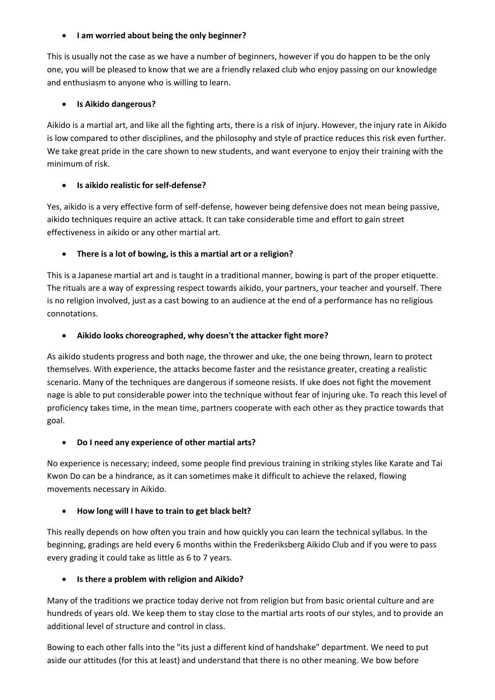#### **I am worried about being the only beginner?**

This is usually not the case as we have a number of beginners, however if you do happen to be the only one, you will be pleased to know that we are a friendly relaxed club who enjoy passing on our knowledge and enthusiasm to anyone who is willing to learn.

#### **Is Aikido dangerous?**

Aikido is a martial art, and like all the fighting arts, there is a risk of injury. However, the injury rate in Aikido is low compared to other disciplines, and the philosophy and style of practice reduces this risk even further. We take great pride in the care shown to new students, and want everyone to enjoy their training with the minimum of risk.

### **Is aikido realistic for self-defense?**

Yes, aikido is a very effective form of self-defense, however being defensive does not mean being passive, aikido techniques require an active attack. It can take considerable time and effort to gain street effectiveness in aikido or any other martial art.

### **There is a lot of bowing, is this a martial art or a religion?**

This is a Japanese martial art and is taught in a traditional manner, bowing is part of the proper etiquette. The rituals are a way of expressing respect towards aikido, your partners, your teacher and yourself. There is no religion involved, just as a cast bowing to an audience at the end of a performance has no religious connotations.

#### **Aikido looks choreographed, why doesn't the attacker fight more?**

As aikido students progress and both nage, the thrower and uke, the one being thrown, learn to protect themselves. With experience, the attacks become faster and the resistance greater, creating a realistic scenario. Many of the techniques are dangerous if someone resists. If uke does not fight the movement nage is able to put considerable power into the technique without fear of injuring uke. To reach this level of proficiency takes time, in the mean time, partners cooperate with each other as they practice towards that goal.

#### **Do I need any experience of other martial arts?**

No experience is necessary; indeed, some people find previous training in striking styles like Karate and Tai Kwon Do can be a hindrance, as it can sometimes make it difficult to achieve the relaxed, flowing movements necessary in Aikido.

### **How long will I have to train to get black belt?**

This really depends on how often you train and how quickly you can learn the technical syllabus. In the beginning, gradings are held every 6 months within the Frederiksberg Aikido Club and if you were to pass every grading it could take as little as 6 to 7 years.

### **Is there a problem with religion and Aikido?**

Many of the traditions we practice today derive not from religion but from basic oriental culture and are hundreds of years old. We keep them to stay close to the martial arts roots of our styles, and to provide an additional level of structure and control in class.

Bowing to each other falls into the "its just a different kind of handshake" department. We need to put aside our attitudes (for this at least) and understand that there is no other meaning. We bow before